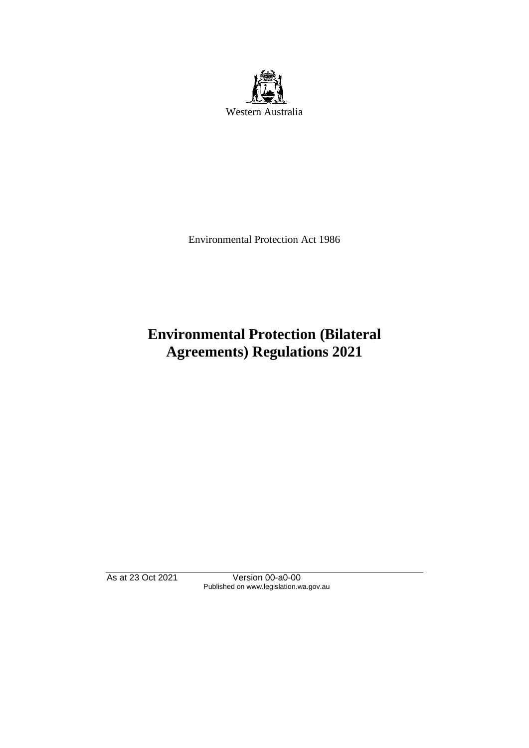

Environmental Protection Act 1986

# **Environmental Protection (Bilateral Agreements) Regulations 2021**

As at 23 Oct 2021 Version 00-a0-00 Published on www.legislation.wa.gov.au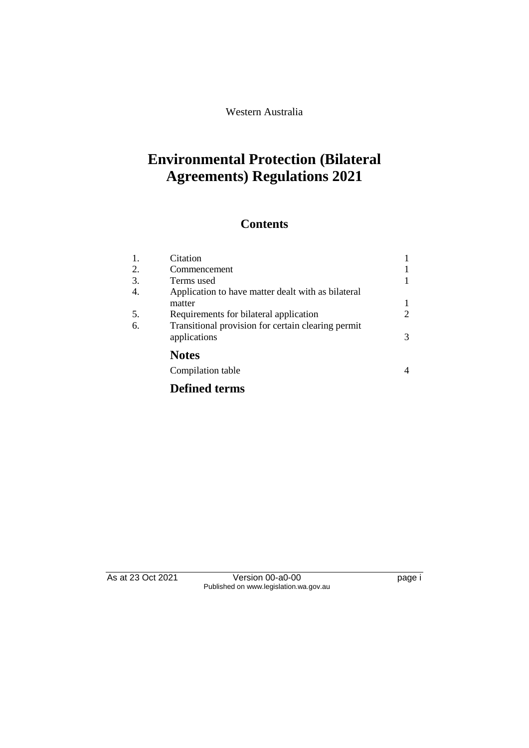Western Australia

## **Environmental Protection (Bilateral Agreements) Regulations 2021**

### **Contents**

| 1. | Citation                                           |   |
|----|----------------------------------------------------|---|
| 2. | Commencement                                       |   |
| 3. | Terms used                                         |   |
| 4. | Application to have matter dealt with as bilateral |   |
|    | matter                                             |   |
| 5. | Requirements for bilateral application             | 2 |
| 6. | Transitional provision for certain clearing permit |   |
|    | applications                                       | 3 |
|    | <b>Notes</b>                                       |   |
|    | Compilation table                                  |   |
|    | . .                                                |   |

#### **Defined terms**

As at 23 Oct 2021 Version 00-a0-00 Page i Published on www.legislation.wa.gov.au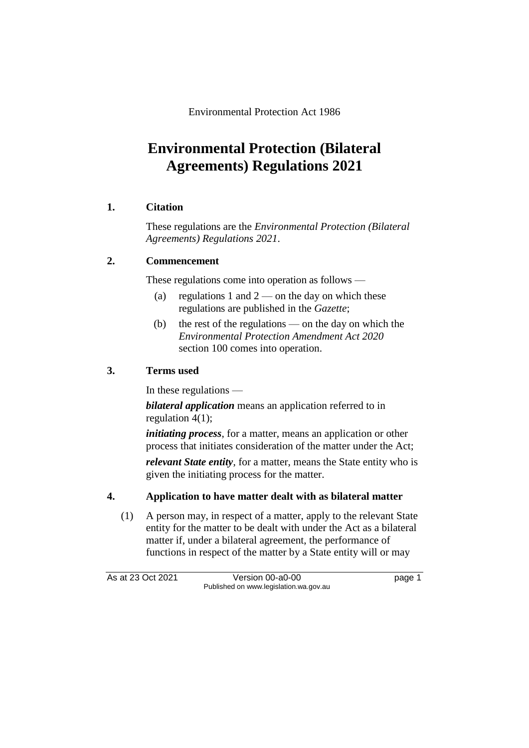Environmental Protection Act 1986

## **Environmental Protection (Bilateral Agreements) Regulations 2021**

#### **1. Citation**

These regulations are the *Environmental Protection (Bilateral Agreements) Regulations 2021*.

#### **2. Commencement**

These regulations come into operation as follows —

- (a) regulations 1 and  $2$  on the day on which these regulations are published in the *Gazette*;
- (b) the rest of the regulations on the day on which the *Environmental Protection Amendment Act 2020* section 100 comes into operation.

#### **3. Terms used**

In these regulations —

*bilateral application* means an application referred to in regulation 4(1);

*initiating process*, for a matter, means an application or other process that initiates consideration of the matter under the Act;

*relevant State entity*, for a matter, means the State entity who is given the initiating process for the matter.

#### **4. Application to have matter dealt with as bilateral matter**

(1) A person may, in respect of a matter, apply to the relevant State entity for the matter to be dealt with under the Act as a bilateral matter if, under a bilateral agreement, the performance of functions in respect of the matter by a State entity will or may

As at 23 Oct 2021 Version 00-a0-00 Page 1 Published on www.legislation.wa.gov.au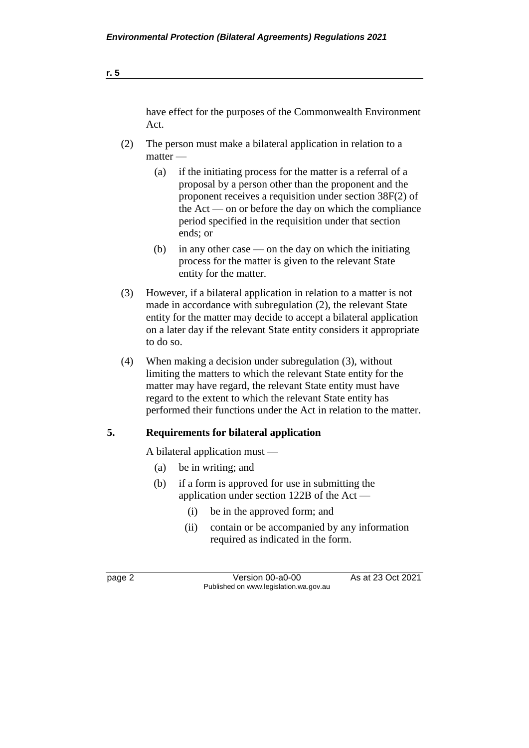| have effect for the purposes of the Commonwealth Environment |
|--------------------------------------------------------------|
| Act.                                                         |

- (2) The person must make a bilateral application in relation to a matter —
	- (a) if the initiating process for the matter is a referral of a proposal by a person other than the proponent and the proponent receives a requisition under section 38F(2) of the Act — on or before the day on which the compliance period specified in the requisition under that section ends; or
	- (b) in any other case on the day on which the initiating process for the matter is given to the relevant State entity for the matter.
- (3) However, if a bilateral application in relation to a matter is not made in accordance with subregulation (2), the relevant State entity for the matter may decide to accept a bilateral application on a later day if the relevant State entity considers it appropriate to do so.
- (4) When making a decision under subregulation (3), without limiting the matters to which the relevant State entity for the matter may have regard, the relevant State entity must have regard to the extent to which the relevant State entity has performed their functions under the Act in relation to the matter.

#### **5. Requirements for bilateral application**

A bilateral application must —

- (a) be in writing; and
- (b) if a form is approved for use in submitting the application under section 122B of the Act —
	- (i) be in the approved form; and
	- (ii) contain or be accompanied by any information required as indicated in the form.

page 2 Version 00-a0-00 As at 23 Oct 2021 Published on www.legislation.wa.gov.au

**r. 5**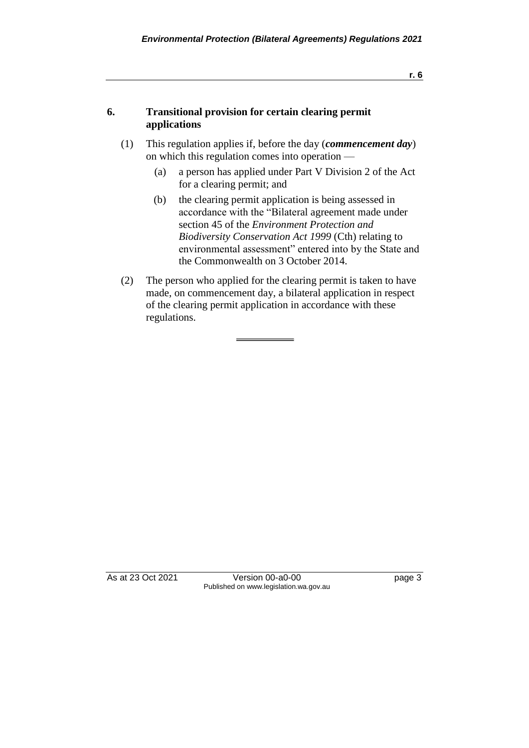#### **6. Transitional provision for certain clearing permit applications**

- (1) This regulation applies if, before the day (*commencement day*) on which this regulation comes into operation —
	- (a) a person has applied under Part V Division 2 of the Act for a clearing permit; and
	- (b) the clearing permit application is being assessed in accordance with the "Bilateral agreement made under section 45 of the *Environment Protection and Biodiversity Conservation Act 1999* (Cth) relating to environmental assessment" entered into by the State and the Commonwealth on 3 October 2014.
- (2) The person who applied for the clearing permit is taken to have made, on commencement day, a bilateral application in respect of the clearing permit application in accordance with these regulations.

As at 23 Oct 2021 Version 00-a0-00 Page 3 Published on www.legislation.wa.gov.au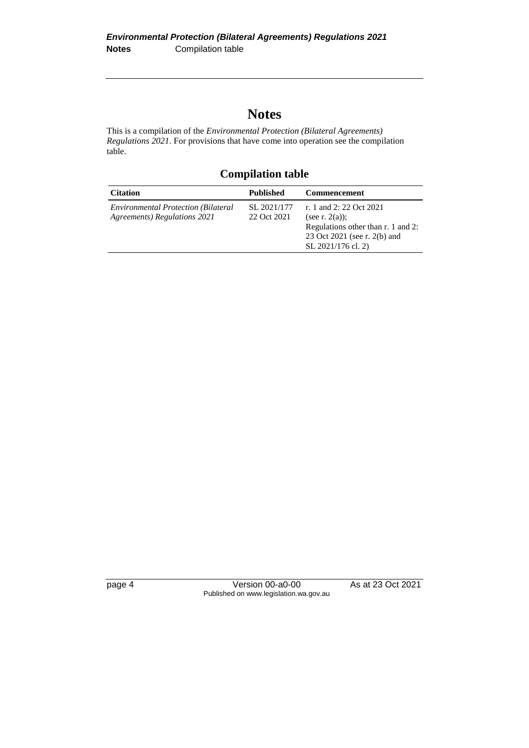### **Notes**

This is a compilation of the *Environmental Protection (Bilateral Agreements) Regulations 2021*. For provisions that have come into operation see the compilation table.

**Compilation table**

| <b>Citation</b>                                                            | <b>Published</b>           | Commencement                                                                                                                             |
|----------------------------------------------------------------------------|----------------------------|------------------------------------------------------------------------------------------------------------------------------------------|
| <b>Environmental Protection (Bilateral</b><br>Agreements) Regulations 2021 | SL 2021/177<br>22 Oct 2021 | r. 1 and 2: 22 Oct 2021<br>(see r. $2(a)$ );<br>Regulations other than r. 1 and 2:<br>23 Oct 2021 (see r. 2(b) and<br>SL 2021/176 cl. 2) |

page 4 Version 00-a0-00 As at 23 Oct 2021 Published on www.legislation.wa.gov.au